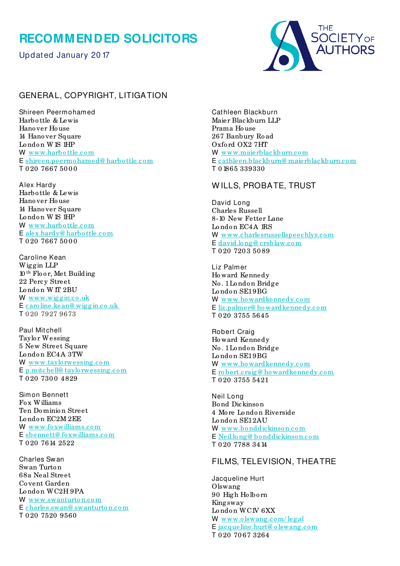## **RECOMMENDED SOLICITORS**

Updated January 20 17



## GENERAL, COPYRIGHT, LITIGATION

Shireen Peermohamed Harbo ttle & Lewis Hano ver Ho use 14 Hanover Square  $London$  W<sub>1S</sub>  $HP$ W www.harbottle.com E [shireen.peermo hamed@ harbo ttle.co m](mailto:shireen.peermohamed@harbottle.com) T 0 20 7667 50 0 0

Alex Hardy Harbo ttle & Lewis Hano ver Ho use 14 Hano ver Square London W<sub>1S</sub> IHP W www.harbottle.com E [alex.hardy@ harbo ttle.co m](mailto:alex.hardy@harbottle.com) T 0 20 7667 5000

Caroline Kean Wiggin LLP 10 th Flo o r, Met Building 22 Percy Street London W IT 2BU W www.wiggin.co.uk E [caro line.kean@ wiggin.co .uk](mailto:caroline.kean@wiggin.co.uk)  T 0 20 7927 9673

Paul Mitchell Taylo r Wessing 5 New Street Square London EC4A 3TW W www.taylorwessing.com E [p.mitchell@ taylo rwessing.co m](mailto:p.mitchell@taylorwessing.com) T 0 20 7 30 0 4 8 2 9

Simon Bennett Fo x Williams Ten Do minio n Street London EC2M 2EE W www.foxwilliams.com E [sbennett@ fo xwilliams.co m](mailto:sbennett@foxwilliams.com)  T 0 20 7614 2522

Charles Sw an Swan Turto n 68a Neal Street Co vent Garden London WC2H9PA W www.swanturton.com E [charles.swan@ swanturto n.co m](mailto:charles.swan@swanturton.com) T 0 20 7520 9560

Cathleen Blackburn Maier Blackburn LLP Prama Ho use 267 Banbury Ro ad Oxfo rd OX2 7HT W www.maierblackburn.com E [cathleen.blackburn@ maierblackburn.co m](mailto:cathleen.blackburn@maierblackburn.com) T 0 1865 339330

## W ILLS, PROBATE, TRUST

David Long Charles Russell 8-10 New Fetter Lane London EC<sub>4</sub>A 1RS W www.charlesrussellspeechlys.com E david.long@crsblaw.com T 0 20 720 3 50 89

Liz Palmer Ho ward Kennedy No . 1 Lo ndo n Bridge London SE19BG W [www.ho wardkennedy.co m](http://www.howardkennedy.com/) E [liz.palmer@ ho wardkennedy.com](mailto:liz.palmer@howardkennedy.com) T 0 20 3755 5645

Robert Craig Ho ward Kennedy No . 1 Lo ndo n Bridge London SE19BG W www.howardkennedy.com E <u>robert.craig@howardkennedy.com</u> T 0 20 3755 5421

Neil Long Bo nd Dickinso n 4 Mo re Lo ndo n Riverside London SE12AU W [www.bo nddickinso n.co m](http://www.bonddickinson.com/) E [Neil.lo ng@ bo nddickinso n.co m](mailto:Neil.long@bonddickinson.com) T 0 20 7788 3414

## FILMS, TELEVISION, THEATRE

Jacqueline Hurt Olswang 90 High Ho lbo rn Kingsway London WC1V 6XX W [www.o lswang.co m/ legal](http://www.olswang.com/legal) E [jacqueline.hurt@ o lswang.co m](mailto:jacqueline.hurt@olswang.com) T 0 20 70 67 3264